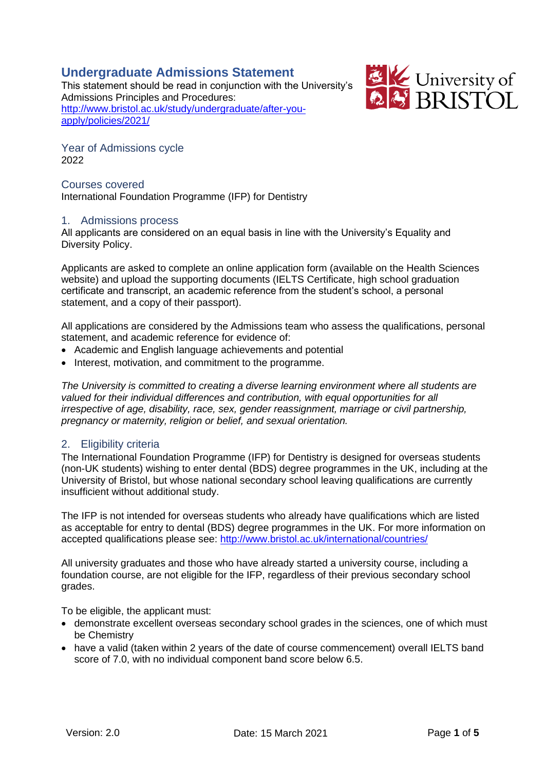# **Undergraduate Admissions Statement**

This statement should be read in conjunction with the University's Admissions Principles and Procedures: [http://www.bristol.ac.uk/study/undergraduate/after-you](http://www.bristol.ac.uk/study/undergraduate/after-you-apply/policies/2021/)[apply/policies/2021/](http://www.bristol.ac.uk/study/undergraduate/after-you-apply/policies/2021/)



Year of Admissions cycle 2022

### Courses covered International Foundation Programme (IFP) for Dentistry

### 1. Admissions process

All applicants are considered on an equal basis in line with the University's Equality and Diversity Policy.

Applicants are asked to complete an online application form (available on the Health Sciences website) and upload the supporting documents (IELTS Certificate, high school graduation certificate and transcript, an academic reference from the student's school, a personal statement, and a copy of their passport).

All applications are considered by the Admissions team who assess the qualifications, personal statement, and academic reference for evidence of:

- Academic and English language achievements and potential
- Interest, motivation, and commitment to the programme.

*The University is committed to creating a diverse learning environment where all students are valued for their individual differences and contribution, with equal opportunities for all irrespective of age, disability, race, sex, gender reassignment, marriage or civil partnership, pregnancy or maternity, religion or belief, and sexual orientation.*

### 2. Eligibility criteria

The International Foundation Programme (IFP) for Dentistry is designed for overseas students (non-UK students) wishing to enter dental (BDS) degree programmes in the UK, including at the University of Bristol, but whose national secondary school leaving qualifications are currently insufficient without additional study.

The IFP is not intended for overseas students who already have qualifications which are listed as acceptable for entry to dental (BDS) degree programmes in the UK. For more information on accepted qualifications please see:<http://www.bristol.ac.uk/international/countries/>

All university graduates and those who have already started a university course, including a foundation course, are not eligible for the IFP, regardless of their previous secondary school grades.

To be eligible, the applicant must:

- demonstrate excellent overseas secondary school grades in the sciences, one of which must be Chemistry
- have a valid (taken within 2 years of the date of course commencement) overall IELTS band score of 7.0, with no individual component band score below 6.5.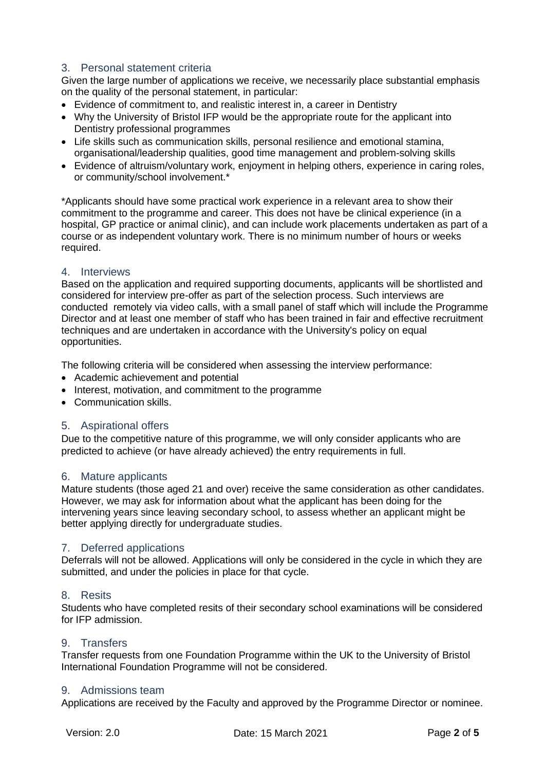# 3. Personal statement criteria

Given the large number of applications we receive, we necessarily place substantial emphasis on the quality of the personal statement, in particular:

- Evidence of commitment to, and realistic interest in, a career in Dentistry
- Why the University of Bristol IFP would be the appropriate route for the applicant into Dentistry professional programmes
- Life skills such as communication skills, personal resilience and emotional stamina, organisational/leadership qualities, good time management and problem-solving skills
- Evidence of altruism/voluntary work, enjoyment in helping others, experience in caring roles, or community/school involvement.\*

\*Applicants should have some practical work experience in a relevant area to show their commitment to the programme and career. This does not have be clinical experience (in a hospital, GP practice or animal clinic), and can include work placements undertaken as part of a course or as independent voluntary work. There is no minimum number of hours or weeks required.

### 4. Interviews

Based on the application and required supporting documents, applicants will be shortlisted and considered for interview pre-offer as part of the selection process. Such interviews are conducted remotely via video calls, with a small panel of staff which will include the Programme Director and at least one member of staff who has been trained in fair and effective recruitment techniques and are undertaken in accordance with the University's policy on equal opportunities.

The following criteria will be considered when assessing the interview performance:

- Academic achievement and potential
- Interest, motivation, and commitment to the programme
- Communication skills.

### 5. Aspirational offers

Due to the competitive nature of this programme, we will only consider applicants who are predicted to achieve (or have already achieved) the entry requirements in full.

### 6. Mature applicants

Mature students (those aged 21 and over) receive the same consideration as other candidates. However, we may ask for information about what the applicant has been doing for the intervening years since leaving secondary school, to assess whether an applicant might be better applying directly for undergraduate studies.

### 7. Deferred applications

Deferrals will not be allowed. Applications will only be considered in the cycle in which they are submitted, and under the policies in place for that cycle.

#### 8. Resits

Students who have completed resits of their secondary school examinations will be considered for IFP admission.

### 9. Transfers

Transfer requests from one Foundation Programme within the UK to the University of Bristol International Foundation Programme will not be considered.

### 9. Admissions team

Applications are received by the Faculty and approved by the Programme Director or nominee.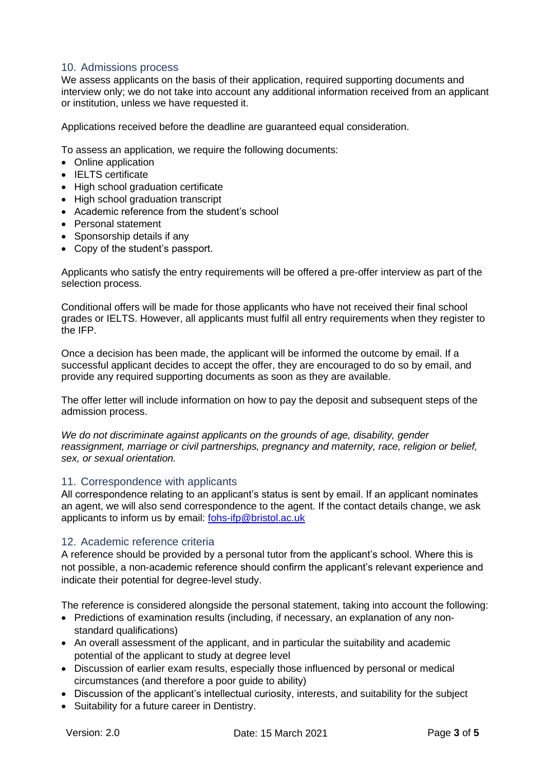## 10. Admissions process

We assess applicants on the basis of their application, required supporting documents and interview only; we do not take into account any additional information received from an applicant or institution, unless we have requested it.

Applications received before the deadline are guaranteed equal consideration.

To assess an application, we require the following documents:

- Online application
- IELTS certificate
- High school graduation certificate
- High school graduation transcript
- Academic reference from the student's school
- Personal statement
- Sponsorship details if any
- Copy of the student's passport.

Applicants who satisfy the entry requirements will be offered a pre-offer interview as part of the selection process.

Conditional offers will be made for those applicants who have not received their final school grades or IELTS. However, all applicants must fulfil all entry requirements when they register to the IFP.

Once a decision has been made, the applicant will be informed the outcome by email. If a successful applicant decides to accept the offer, they are encouraged to do so by email, and provide any required supporting documents as soon as they are available.

The offer letter will include information on how to pay the deposit and subsequent steps of the admission process.

*We do not discriminate against applicants on the grounds of age, disability, gender reassignment, marriage or civil partnerships, pregnancy and maternity, race, religion or belief, sex, or sexual orientation.*

### 11. Correspondence with applicants

All correspondence relating to an applicant's status is sent by email. If an applicant nominates an agent, we will also send correspondence to the agent. If the contact details change, we ask applicants to inform us by email: [fohs-ifp@bristol.ac.uk](mailto:fohs-ifp@bristol.ac.uk)

### 12. Academic reference criteria

A reference should be provided by a personal tutor from the applicant's school. Where this is not possible, a non-academic reference should confirm the applicant's relevant experience and indicate their potential for degree-level study.

The reference is considered alongside the personal statement, taking into account the following:

- Predictions of examination results (including, if necessary, an explanation of any nonstandard qualifications)
- An overall assessment of the applicant, and in particular the suitability and academic potential of the applicant to study at degree level
- Discussion of earlier exam results, especially those influenced by personal or medical circumstances (and therefore a poor guide to ability)
- Discussion of the applicant's intellectual curiosity, interests, and suitability for the subject
- Suitability for a future career in Dentistry.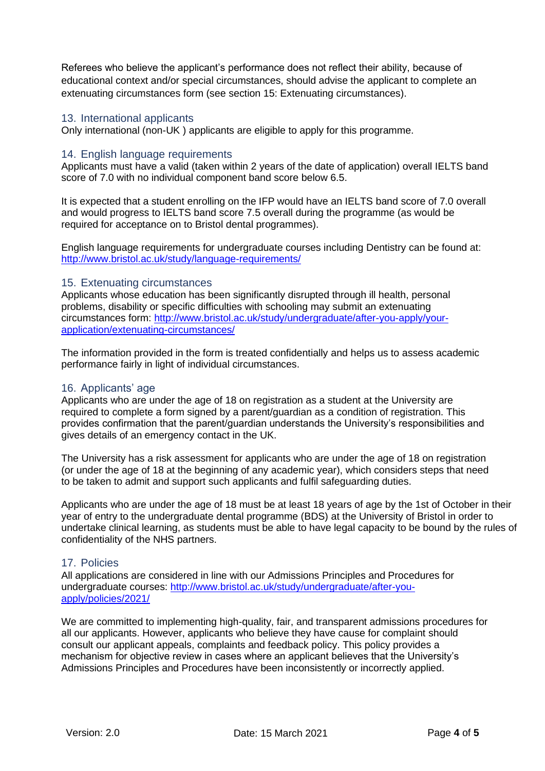Referees who believe the applicant's performance does not reflect their ability, because of educational context and/or special circumstances, should advise the applicant to complete an extenuating circumstances form (see section 15: Extenuating circumstances).

### 13. International applicants

Only international (non-UK ) applicants are eligible to apply for this programme.

### 14. English language requirements

Applicants must have a valid (taken within 2 years of the date of application) overall IELTS band score of 7.0 with no individual component band score below 6.5.

It is expected that a student enrolling on the IFP would have an IELTS band score of 7.0 overall and would progress to IELTS band score 7.5 overall during the programme (as would be required for acceptance on to Bristol dental programmes).

English language requirements for undergraduate courses including Dentistry can be found at: <http://www.bristol.ac.uk/study/language-requirements/>

### 15. Extenuating circumstances

Applicants whose education has been significantly disrupted through ill health, personal problems, disability or specific difficulties with schooling may submit an extenuating circumstances form: [http://www.bristol.ac.uk/study/undergraduate/after-you-apply/your](http://www.bristol.ac.uk/study/undergraduate/after-you-apply/your-application/extenuating-circumstances/)[application/extenuating-circumstances/](http://www.bristol.ac.uk/study/undergraduate/after-you-apply/your-application/extenuating-circumstances/)

The information provided in the form is treated confidentially and helps us to assess academic performance fairly in light of individual circumstances.

### 16. Applicants' age

Applicants who are under the age of 18 on registration as a student at the University are required to complete a form signed by a parent/guardian as a condition of registration. This provides confirmation that the parent/guardian understands the University's responsibilities and gives details of an emergency contact in the UK.

The University has a risk assessment for applicants who are under the age of 18 on registration (or under the age of 18 at the beginning of any academic year), which considers steps that need to be taken to admit and support such applicants and fulfil safeguarding duties.

Applicants who are under the age of 18 must be at least 18 years of age by the 1st of October in their year of entry to the undergraduate dental programme (BDS) at the University of Bristol in order to undertake clinical learning, as students must be able to have legal capacity to be bound by the rules of confidentiality of the NHS partners.

### 17. Policies

All applications are considered in line with our Admissions Principles and Procedures for undergraduate courses: [http://www.bristol.ac.uk/study/undergraduate/after-you](http://www.bristol.ac.uk/study/undergraduate/after-you-apply/policies/2021/)[apply/policies/2021/](http://www.bristol.ac.uk/study/undergraduate/after-you-apply/policies/2021/)

We are committed to implementing high-quality, fair, and transparent admissions procedures for all our applicants. However, applicants who believe they have cause for complaint should consult our applicant appeals, complaints and feedback policy. This policy provides a mechanism for objective review in cases where an applicant believes that the University's Admissions Principles and Procedures have been inconsistently or incorrectly applied.